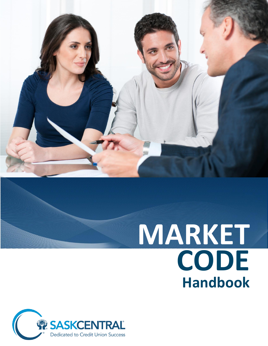

# **MARKET CODE Handbook**

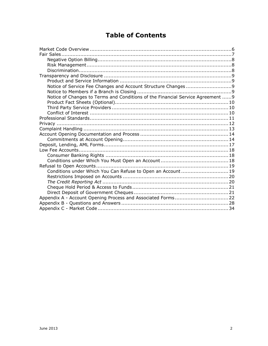# **Table of Contents**

| Notice of Changes to Terms and Conditions of the Financial Service Agreement  9 |  |
|---------------------------------------------------------------------------------|--|
|                                                                                 |  |
|                                                                                 |  |
|                                                                                 |  |
|                                                                                 |  |
|                                                                                 |  |
|                                                                                 |  |
|                                                                                 |  |
|                                                                                 |  |
|                                                                                 |  |
|                                                                                 |  |
|                                                                                 |  |
|                                                                                 |  |
|                                                                                 |  |
| Conditions under Which You Can Refuse to Open an Account 19                     |  |
|                                                                                 |  |
|                                                                                 |  |
|                                                                                 |  |
|                                                                                 |  |
|                                                                                 |  |
|                                                                                 |  |
|                                                                                 |  |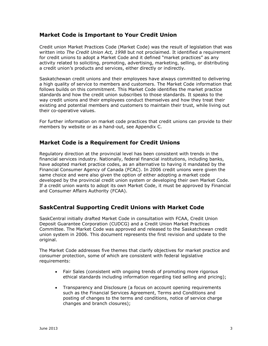# **Market Code is Important to Your Credit Union**

Credit union Market Practices Code (Market Code) was the result of legislation that was written into *The Credit Union Act, 1998* but not proclaimed. It identified a requirement for credit unions to adopt a Market Code and it defined "market practices" as any activity related to soliciting, promoting, advertising, marketing, selling, or distributing a credit union's products and services, either directly or indirectly.

Saskatchewan credit unions and their employees have always committed to delivering a high quality of service to members and customers. The Market Code information that follows builds on this commitment. This Market Code identifies the market practice standards and how the credit union subscribes to those standards. It speaks to the way credit unions and their employees conduct themselves and how they treat their existing and potential members and customers to maintain their trust, while living out their co-operative values.

For further information on market code practices that credit unions can provide to their members by website or as a hand-out, see Appendix C.

# **Market Code is a Requirement for Credit Unions**

Regulatory direction at the provincial level has been consistent with trends in the financial services industry. Nationally, federal financial institutions, including banks, have adopted market practice codes, as an alternative to having it mandated by the Financial Consumer Agency of Canada (FCAC). In 2006 credit unions were given the same choice and were also given the option of either adopting a market code developed by the provincial credit union system or developing their own Market Code. If a credit union wants to adopt its own Market Code, it must be approved by Financial and Consumer Affairs Authority (FCAA).

# **SaskCentral Supporting Credit Unions with Market Code**

SaskCentral initially drafted Market Code in consultation with FCAA, Credit Union Deposit Guarantee Corporation (CUDCG) and a Credit Union Market Practices Committee. The Market Code was approved and released to the Saskatchewan credit union system in 2006. This document represents the first revision and update to the original.

The Market Code addresses five themes that clarify objectives for market practice and consumer protection, some of which are consistent with federal legislative requirements:

- Fair Sales (consistent with ongoing trends of promoting more rigorous ethical standards including information regarding tied selling and pricing);
- Transparency and Disclosure (a focus on account opening requirements such as the Financial Services Agreement, Terms and Conditions and posting of changes to the terms and conditions, notice of service charge changes and branch closures);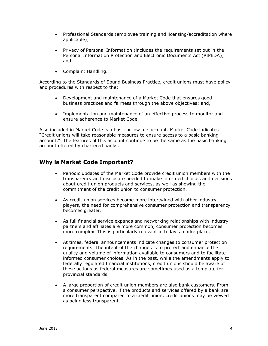- Professional Standards (employee training and licensing/accreditation where applicable);
- Privacy of Personal Information (includes the requirements set out in the Personal Information Protection and Electronic Documents Act (PIPEDA); and
- Complaint Handling.

According to the Standards of Sound Business Practice, credit unions must have policy and procedures with respect to the:

- Development and maintenance of a Market Code that ensures good business practices and fairness through the above objectives; and,
- Implementation and maintenance of an effective process to monitor and ensure adherence to Market Code.

Also included in Market Code is a basic or low fee account. Market Code indicates "Credit unions will take reasonable measures to ensure access to a basic banking account." The features of this account continue to be the same as the basic banking account offered by chartered banks.

## **Why is Market Code Important?**

- Periodic updates of the Market Code provide credit union members with the transparency and disclosure needed to make informed choices and decisions about credit union products and services, as well as showing the commitment of the credit union to consumer protection.
- As credit union services become more intertwined with other industry players, the need for comprehensive consumer protection and transparency becomes greater.
- As full financial service expands and networking relationships with industry partners and affiliates are more common, consumer protection becomes more complex. This is particularly relevant in today's marketplace.
- At times, federal announcements indicate changes to consumer protection requirements. The intent of the changes is to protect and enhance the quality and volume of information available to consumers and to facilitate informed consumer choices. As in the past, while the amendments apply to federally regulated financial institutions, credit unions should be aware of these actions as federal measures are sometimes used as a template for provincial standards.
- A large proportion of credit union members are also bank customers. From a consumer perspective, if the products and services offered by a bank are more transparent compared to a credit union, credit unions may be viewed as being less transparent.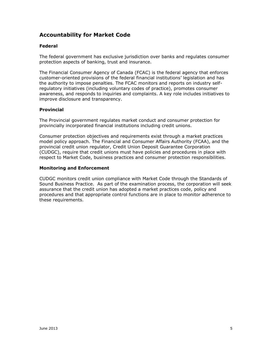# **Accountability for Market Code**

#### **Federal**

The federal government has exclusive jurisdiction over banks and regulates consumer protection aspects of banking, trust and insurance.

The Financial Consumer Agency of Canada (FCAC) is the federal agency that enforces customer-oriented provisions of the federal financial institutions' legislation and has the authority to impose penalties. The FCAC monitors and reports on industry selfregulatory initiatives (including voluntary codes of practice), promotes consumer awareness, and responds to inquiries and complaints. A key role includes initiatives to improve disclosure and transparency.

#### **Provincial**

The Provincial government regulates market conduct and consumer protection for provincially incorporated financial institutions including credit unions.

Consumer protection objectives and requirements exist through a market practices model policy approach. The Financial and Consumer Affairs Authority (FCAA), and the provincial credit union regulator, Credit Union Deposit Guarantee Corporation (CUDGC), require that credit unions must have policies and procedures in place with respect to Market Code, business practices and consumer protection responsibilities.

#### **Monitoring and Enforcement**

CUDGC monitors credit union compliance with Market Code through the Standards of Sound Business Practice. As part of the examination process, the corporation will seek assurance that the credit union has adopted a market practices code, policy and procedures and that appropriate control functions are in place to monitor adherence to these requirements.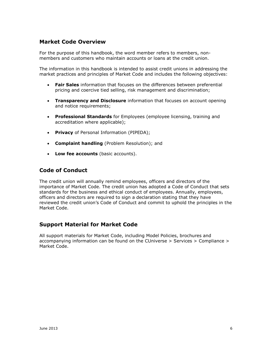# <span id="page-5-0"></span>**Market Code Overview**

For the purpose of this handbook, the word member refers to members, nonmembers and customers who maintain accounts or loans at the credit union.

The information in this handbook is intended to assist credit unions in addressing the market practices and principles of Market Code and includes the following objectives:

- **Fair Sales** information that focuses on the differences between preferential pricing and coercive tied selling, risk management and discrimination;
- **Transparency and Disclosure** information that focuses on account opening and notice requirements;
- **Professional Standards** for Employees (employee licensing, training and accreditation where applicable);
- **Privacy** of Personal Information (PIPEDA);
- **Complaint handling** (Problem Resolution); and
- **Low fee accounts** (basic accounts).

## **Code of Conduct**

The credit union will annually remind employees, officers and directors of the importance of Market Code. The credit union has adopted a Code of Conduct that sets standards for the business and ethical conduct of employees. Annually, employees, officers and directors are required to sign a declaration stating that they have reviewed the credit union's Code of Conduct and commit to uphold the principles in the Market Code.

# **Support Material for Market Code**

All support materials for Market Code, including Model Policies, brochures and accompanying information can be found on the CUniverse > Services > Compliance > Market Code.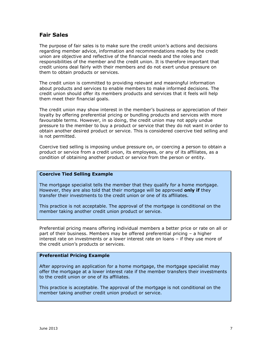## <span id="page-6-0"></span>**Fair Sales**

The purpose of fair sales is to make sure the credit union's actions and decisions regarding member advice, information and recommendations made by the credit union are objective and reflective of the financial needs and the roles and responsibilities of the member and the credit union. It is therefore important that credit unions deal fairly with their members and do not exert undue pressure on them to obtain products or services.

The credit union is committed to providing relevant and meaningful information about products and services to enable members to make informed decisions. The credit union should offer its members products and services that it feels will help them meet their financial goals.

The credit union may show interest in the member's business or appreciation of their loyalty by offering preferential pricing or bundling products and services with more favourable terms. However, in so doing, the credit union may not apply undue pressure to the member to buy a product or service that they do not want in order to obtain another desired product or service. This is considered coercive tied selling and is not permitted.

Coercive tied selling is imposing undue pressure on, or coercing a person to obtain a product or service from a credit union, its employees, or any of its affiliates, as a condition of obtaining another product or service from the person or entity.

#### **Coercive Tied Selling Example**

The mortgage specialist tells the member that they qualify for a home mortgage. However, they are also told that their mortgage will be approved **only if** they transfer their investments to the credit union or one of its affiliates.

This practice is not acceptable. The approval of the mortgage is conditional on the member taking another credit union product or service.

Preferential pricing means offering individual members a better price or rate on all or part of their business. Members may be offered preferential pricing – a higher interest rate on investments or a lower interest rate on loans – if they use more of the credit union's products or services.

#### **Preferential Pricing Example**

After approving an application for a home mortgage, the mortgage specialist may offer the mortgage at a lower interest rate if the member transfers their investments to the credit union or one of its affiliates.

This practice is acceptable. The approval of the mortgage is not conditional on the member taking another credit union product or service.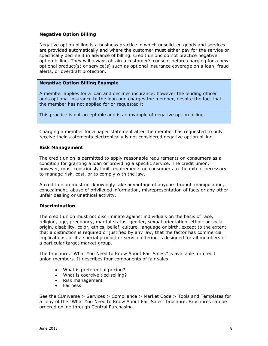#### <span id="page-7-0"></span>**Negative Option Billing**

Negative option billing is a business practice in which unsolicited goods and services are provided automatically and where the customer must either pay for the service or specifically decline it in advance of billing. Credit unions do not practice negative option billing. They will always obtain a customer's consent before charging for a new optional product(s) or service(s) such as optional insurance coverage on a loan, fraud alerts, or overdraft protection.

#### **Negative Option Billing Example**

A member applies for a loan and declines insurance; however the lending officer adds optional insurance to the loan and charges the member, despite the fact that the member has not applied for or requested it.

This practice is not acceptable and is an example of negative option billing.

Charging a member for a paper statement after the member has requested to only receive their statements electronically is not considered negative option billing.

#### <span id="page-7-1"></span>**Risk Management**

The credit union is permitted to apply reasonable requirements on consumers as a condition for granting a loan or providing a specific service. The credit union, however, must consciously limit requirements on consumers to the extent necessary to manage risk, cost, or to comply with the law.

A credit union must not knowingly take advantage of anyone through manipulation, concealment, abuse of privileged information, misrepresentation of facts or any other unfair dealing or unethical activity.

#### <span id="page-7-2"></span>**Discrimination**

The credit union must not discriminate against individuals on the basis of race, religion, age, pregnancy, marital status, gender, sexual orientation, ethnic or social origin, disability, color, ethics, belief, culture, language or birth, except to the extent that a distinction is required or justified by any law, that the factor has commercial implications, or if a special product or service offering is designed for all members of a particular target market group.

The brochure, "What You Need to Know About Fair Sales," is available for credit union members. It describes four components of fair sales:

- What is preferential pricing?
- What is coercive tied selling?
- Risk management
- Fairness

See the CUniverse > Services > Compliance > Market Code > Tools and Templates for a copy of the "What You Need to Know About Fair Sales" brochure. Brochures can be ordered online through Central Purchasing.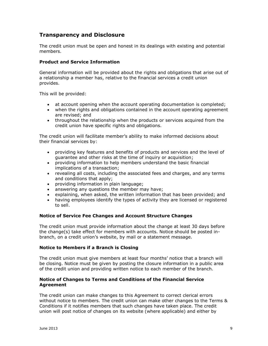# <span id="page-8-0"></span>**Transparency and Disclosure**

The credit union must be open and honest in its dealings with existing and potential members.

#### <span id="page-8-1"></span>**Product and Service Information**

General information will be provided about the rights and obligations that arise out of a relationship a member has, relative to the financial services a credit union provides.

This will be provided:

- at account opening when the account operating documentation is completed;
- when the rights and obligations contained in the account operating agreement are revised; and
- throughout the relationship when the products or services acquired from the credit union have specific rights and obligations.

The credit union will facilitate member's ability to make informed decisions about their financial services by:

- providing key features and benefits of products and services and the level of guarantee and other risks at the time of inquiry or acquisition;
- providing information to help members understand the basic financial implications of a transaction;
- revealing all costs, including the associated fees and charges, and any terms and conditions that apply;
- providing information in plain language;
- answering any questions the member may have;
- explaining, when asked, the written information that has been provided; and
- having employees identify the types of activity they are licensed or registered to sell.

#### <span id="page-8-2"></span>**Notice of Service Fee Changes and Account Structure Changes**

The credit union must provide information about the change at least 30 days before the change(s) take effect for members with accounts. Notice should be posted inbranch, on a credit union's website, by mail or a statement message.

#### <span id="page-8-3"></span>**Notice to Members if a Branch is Closing**

The credit union must give members at least four months' notice that a branch will be closing. Notice must be given by posting the closure information in a public area of the credit union and providing written notice to each member of the branch.

#### <span id="page-8-4"></span>**Notice of Changes to Terms and Conditions of the Financial Service Agreement**

The credit union can make changes to this Agreement to correct clerical errors without notice to members. The credit union can make other changes to the Terms & Conditions if it notifies members that such changes have taken place. The credit union will post notice of changes on its website (where applicable) and either by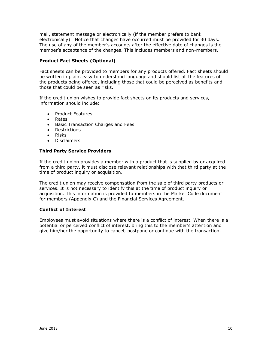mail, statement message or electronically (if the member prefers to bank electronically). Notice that changes have occurred must be provided for 30 days. The use of any of the member's accounts after the effective date of changes is the member's acceptance of the changes. This includes members and non-members.

#### <span id="page-9-0"></span>**Product Fact Sheets (Optional)**

Fact sheets can be provided to members for any products offered. Fact sheets should be written in plain, easy to understand language and should list all the features of the products being offered, including those that could be perceived as benefits and those that could be seen as risks.

If the credit union wishes to provide fact sheets on its products and services, information should include:

- Product Features
- Rates
- **•** Basic Transaction Charges and Fees
- Restrictions
- Risks
- Disclaimers

#### <span id="page-9-1"></span>**Third Party Service Providers**

If the credit union provides a member with a product that is supplied by or acquired from a third party, it must disclose relevant relationships with that third party at the time of product inquiry or acquisition.

The credit union may receive compensation from the sale of third party products or services. It is not necessary to identify this at the time of product inquiry or acquisition. This information is provided to members in the Market Code document for members (Appendix C) and the Financial Services Agreement.

#### <span id="page-9-2"></span>**Conflict of Interest**

Employees must avoid situations where there is a conflict of interest. When there is a potential or perceived conflict of interest, bring this to the member's attention and give him/her the opportunity to cancel, postpone or continue with the transaction.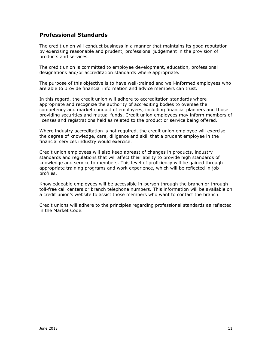# <span id="page-10-0"></span>**Professional Standards**

The credit union will conduct business in a manner that maintains its good reputation by exercising reasonable and prudent, professional judgement in the provision of products and services.

The credit union is committed to employee development, education, professional designations and/or accreditation standards where appropriate.

The purpose of this objective is to have well-trained and well-informed employees who are able to provide financial information and advice members can trust.

In this regard, the credit union will adhere to accreditation standards where appropriate and recognize the authority of accrediting bodies to oversee the competency and market conduct of employees, including financial planners and those providing securities and mutual funds. Credit union employees may inform members of licenses and registrations held as related to the product or service being offered.

Where industry accreditation is not required, the credit union employee will exercise the degree of knowledge, care, diligence and skill that a prudent employee in the financial services industry would exercise.

Credit union employees will also keep abreast of changes in products, industry standards and regulations that will affect their ability to provide high standards of knowledge and service to members. This level of proficiency will be gained through appropriate training programs and work experience, which will be reflected in job profiles.

Knowledgeable employees will be accessible in-person through the branch or through toll-free call centers or branch telephone numbers. This information will be available on a credit union's website to assist those members who want to contact the branch.

Credit unions will adhere to the principles regarding professional standards as reflected in the Market Code.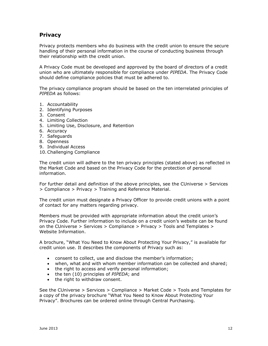# <span id="page-11-0"></span>**Privacy**

Privacy protects members who do business with the credit union to ensure the secure handling of their personal information in the course of conducting business through their relationship with the credit union.

A Privacy Code must be developed and approved by the board of directors of a credit union who are ultimately responsible for compliance under *PIPEDA*. The Privacy Code should define compliance policies that must be adhered to.

The privacy compliance program should be based on the ten interrelated principles of *PIPEDA* as follows:

- 1. Accountability
- 2. Identifying Purposes
- 3. Consent
- 4. Limiting Collection
- 5. Limiting Use, Disclosure, and Retention
- 6. Accuracy
- 7. Safeguards
- 8. Openness
- 9. Individual Access
- 10.Challenging Compliance

The credit union will adhere to the ten privacy principles (stated above) as reflected in the Market Code and based on the Privacy Code for the protection of personal information.

For further detail and definition of the above principles, see the CUniverse > Services > Compliance > Privacy > Training and Reference Material.

The credit union must designate a Privacy Officer to provide credit unions with a point of contact for any matters regarding privacy.

Members must be provided with appropriate information about the credit union's Privacy Code. Further information to include on a credit union's website can be found on the CUniverse > Services > Compliance > Privacy > Tools and Templates > Website Information.

A brochure, "What You Need to Know About Protecting Your Privacy," is available for credit union use. It describes the components of Privacy such as:

- consent to collect, use and disclose the member's information;
- when, what and with whom member information can be collected and shared;
- the right to access and verify personal information;
- the ten (10) principles of *PIPEDA*; and
- the right to withdraw consent.

<span id="page-11-1"></span>See the CUniverse > Services > Compliance > Market Code > Tools and Templates for a copy of the privacy brochure "What You Need to Know About Protecting Your Privacy". Brochures can be ordered online through Central Purchasing.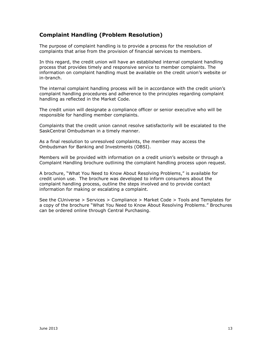# **Complaint Handling (Problem Resolution)**

The purpose of complaint handling is to provide a process for the resolution of complaints that arise from the provision of financial services to members.

In this regard, the credit union will have an established internal complaint handling process that provides timely and responsive service to member complaints. The information on complaint handling must be available on the credit union's website or in-branch.

The internal complaint handling process will be in accordance with the credit union's complaint handling procedures and adherence to the principles regarding complaint handling as reflected in the Market Code.

The credit union will designate a compliance officer or senior executive who will be responsible for handling member complaints.

Complaints that the credit union cannot resolve satisfactorily will be escalated to the SaskCentral Ombudsman in a timely manner.

As a final resolution to unresolved complaints, the member may access the Ombudsman for Banking and Investments (OBSI).

Members will be provided with information on a credit union's website or through a Complaint Handling brochure outlining the complaint handling process upon request.

A brochure, "What You Need to Know About Resolving Problems," is available for credit union use. The brochure was developed to inform consumers about the complaint handling process, outline the steps involved and to provide contact information for making or escalating a complaint.

See the CUniverse > Services > Compliance > Market Code > Tools and Templates for a copy of the brochure "What You Need to Know About Resolving Problems." Brochures can be ordered online through Central Purchasing.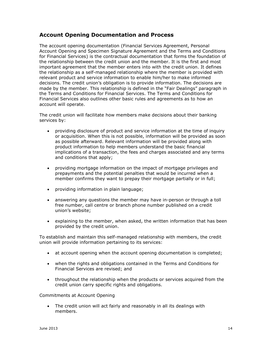# <span id="page-13-0"></span>**Account Opening Documentation and Process**

The account opening documentation (Financial Services Agreement, Personal Account Opening and Specimen Signature Agreement and the Terms and Conditions for Financial Services) is the contractual documentation that forms the foundation of the relationship between the credit union and the member. It is the first and most important agreement that the member enters into with the credit union. It defines the relationship as a self-managed relationship where the member is provided with relevant product and service information to enable him/her to make informed decisions. The credit union's obligation is to provide information. The decisions are made by the member. This relationship is defined in the "Fair Dealings" paragraph in the Terms and Conditions for Financial Services. The Terms and Conditions for Financial Services also outlines other basic rules and agreements as to how an account will operate.

The credit union will facilitate how members make decisions about their banking services by:

- providing disclosure of product and service information at the time of inquiry or acquisition. When this is not possible, information will be provided as soon as possible afterward. Relevant information will be provided along with product information to help members understand the basic financial implications of a transaction, the fees and charges associated and any terms and conditions that apply;
- providing mortgage information on the impact of mortgage privileges and prepayments and the potential penalties that would be incurred when a member confirms they want to prepay their mortgage partially or in full;
- providing information in plain language;
- answering any questions the member may have in-person or through a toll free number, call centre or branch phone number published on a credit union's website;
- explaining to the member, when asked, the written information that has been provided by the credit union.

To establish and maintain this self-managed relationship with members, the credit union will provide information pertaining to its services:

- at account opening when the account opening documentation is completed;
- when the rights and obligations contained in the Terms and Conditions for Financial Services are revised; and
- throughout the relationship when the products or services acquired from the credit union carry specific rights and obligations.

#### <span id="page-13-1"></span>Commitments at Account Opening

 The credit union will act fairly and reasonably in all its dealings with members.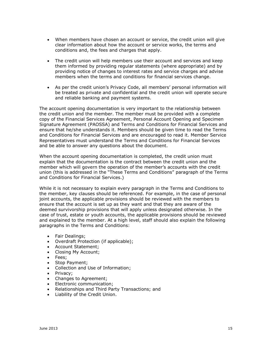- When members have chosen an account or service, the credit union will give clear information about how the account or service works, the terms and conditions and, the fees and charges that apply.
- The credit union will help members use their account and services and keep them informed by providing regular statements (where appropriate) and by providing notice of changes to interest rates and service charges and advise members when the terms and conditions for financial services change.
- As per the credit union's Privacy Code, all members' personal information will be treated as private and confidential and the credit union will operate secure and reliable banking and payment systems.

The account opening documentation is very important to the relationship between the credit union and the member. The member must be provided with a complete copy of the Financial Services Agreement, Personal Account Opening and Specimen Signature Agreement (PAOSSA) and Terms and Conditions for Financial Services and ensure that he/she understands it. Members should be given time to read the Terms and Conditions for Financial Services and are encouraged to read it. Member Service Representatives must understand the Terms and Conditions for Financial Services and be able to answer any questions about the document.

When the account opening documentation is completed, the credit union must explain that the documentation is the contract between the credit union and the member which will govern the operation of the member's accounts with the credit union (this is addressed in the "These Terms and Conditions" paragraph of the Terms and Conditions for Financial Services.)

While it is not necessary to explain every paragraph in the Terms and Conditions to the member, key clauses should be referenced. For example, in the case of personal joint accounts, the applicable provisions should be reviewed with the members to ensure that the account is set up as they want and that they are aware of the deemed survivorship provisions that will apply unless designated otherwise. In the case of trust, estate or youth accounts, the applicable provisions should be reviewed and explained to the member. At a high level, staff should also explain the following paragraphs in the Terms and Conditions:

- Fair Dealings;
- Overdraft Protection (if applicable);
- Account Statement;
- Closing My Account;
- Fees;
- Stop Payment;
- Collection and Use of Information;
- Privacy;
- Changes to Agreement;
- Electronic communication;
- Relationships and Third Party Transactions; and
- Liability of the Credit Union.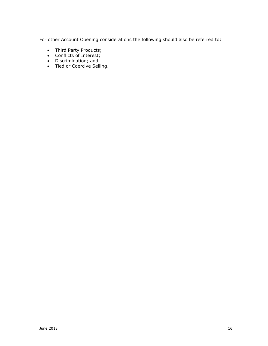For other Account Opening considerations the following should also be referred to:

- Third Party Products;
- Conflicts of Interest;
- $\bullet$  Discrimination; and
- Tied or Coercive Selling.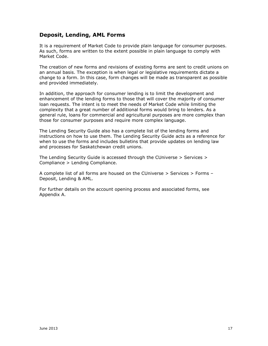# <span id="page-16-0"></span>**Deposit, Lending, AML Forms**

It is a requirement of Market Code to provide plain language for consumer purposes. As such, forms are written to the extent possible in plain language to comply with Market Code.

The creation of new forms and revisions of existing forms are sent to credit unions on an annual basis. The exception is when legal or legislative requirements dictate a change to a form. In this case, form changes will be made as transparent as possible and provided immediately.

In addition, the approach for consumer lending is to limit the development and enhancement of the lending forms to those that will cover the majority of consumer loan requests. The intent is to meet the needs of Market Code while limiting the complexity that a great number of additional forms would bring to lenders. As a general rule, loans for commercial and agricultural purposes are more complex than those for consumer purposes and require more complex language.

The Lending Security Guide also has a complete list of the lending forms and instructions on how to use them. The Lending Security Guide acts as a reference for when to use the forms and includes bulletins that provide updates on lending law and processes for Saskatchewan credit unions.

The Lending Security Guide is accessed through the CUniverse > Services > Compliance > Lending Compliance.

A complete list of all forms are housed on the CUniverse > Services > Forms – Deposit, Lending & AML.

For further details on the account opening process and associated forms, see Appendix A.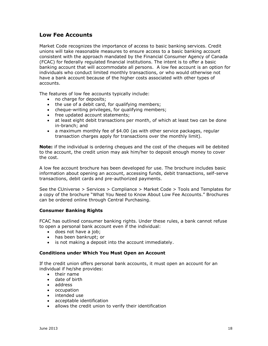# <span id="page-17-0"></span>**Low Fee Accounts**

Market Code recognizes the importance of access to basic banking services. Credit unions will take reasonable measures to ensure access to a basic banking account consistent with the approach mandated by the Financial Consumer Agency of Canada (FCAC) for federally regulated financial institutions. The intent is to offer a basic banking account that will accommodate all persons. A low fee account is an option for individuals who conduct limited monthly transactions, or who would otherwise not have a bank account because of the higher costs associated with other types of accounts.

The features of low fee accounts typically include:

- no charge for deposits;
- the use of a debit card, for qualifying members;
- cheque-writing privileges, for qualifying members;
- free updated account statements;
- at least eight debit transactions per month, of which at least two can be done in-branch; and
- a maximum monthly fee of \$4.00 (as with other service packages, regular transaction charges apply for transactions over the monthly limit).

**Note:** if the individual is ordering cheques and the cost of the cheques will be debited to the account, the credit union may ask him/her to deposit enough money to cover the cost.

A low fee account brochure has been developed for use. The brochure includes basic information about opening an account, accessing funds, debit transactions, self-serve transactions, debit cards and pre-authorized payments.

See the CUniverse > Services > Compliance > Market Code > Tools and Templates for a copy of the brochure "What You Need to Know About Low Fee Accounts." Brochures can be ordered online through Central Purchasing.

#### <span id="page-17-1"></span>**Consumer Banking Rights**

FCAC has outlined consumer banking rights. Under these rules, a bank cannot refuse to open a personal bank account even if the individual:

- does not have a job;
- has been bankrupt; or
- is not making a deposit into the account immediately.

#### <span id="page-17-2"></span>**Conditions under Which You Must Open an Account**

If the credit union offers personal bank accounts, it must open an account for an individual if he/she provides:

- their name
- date of birth
- address
- occupation
- intended use
- acceptable identification
- allows the credit union to verify their identification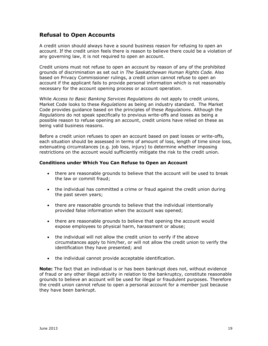# <span id="page-18-0"></span>**Refusal to Open Accounts**

A credit union should always have a sound business reason for refusing to open an account. If the credit union feels there is reason to believe there could be a violation of any governing law, it is not required to open an account.

Credit unions must not refuse to open an account by reason of any of the prohibited grounds of discrimination as set out in *The Saskatchewan Human Rights Code.* Also based on Privacy Commissioner rulings, a credit union cannot refuse to open an account if the applicant fails to provide personal information which is not reasonably necessary for the account opening process or account operation.

While *Access to Basic Banking Services Regulations* do not apply to credit unions, Market Code looks to these *Regulations* as being an industry standard. The Market Code provides guidance based on the principles of these *Regulations*. Although the *Regulations* do not speak specifically to previous write-offs and losses as being a possible reason to refuse opening an account, credit unions have relied on these as being valid business reasons.

Before a credit union refuses to open an account based on past losses or write-offs, each situation should be assessed in terms of amount of loss, length of time since loss, extenuating circumstances (e.g. job loss, injury) to determine whether imposing restrictions on the account would sufficiently mitigate the risk to the credit union.

#### <span id="page-18-1"></span>**Conditions under Which You Can Refuse to Open an Account**

- there are reasonable grounds to believe that the account will be used to break the law or commit fraud;
- the individual has committed a crime or fraud against the credit union during the past seven years;
- there are reasonable grounds to believe that the individual intentionally provided false information when the account was opened;
- there are reasonable grounds to believe that opening the account would expose employees to physical harm, harassment or abuse;
- the individual will not allow the credit union to verify if the above circumstances apply to him/her, or will not allow the credit union to verify the identification they have presented; and
- the individual cannot provide acceptable identification.

**Note:** The fact that an individual is or has been bankrupt does not, without evidence of fraud or any other illegal activity in relation to the bankruptcy, constitute reasonable grounds to believe an account will be used for illegal or fraudulent purposes. Therefore the credit union cannot refuse to open a personal account for a member just because they have been bankrupt.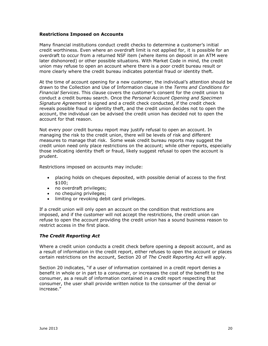#### <span id="page-19-0"></span>**Restrictions Imposed on Accounts**

Many financial institutions conduct credit checks to determine a customer's initial credit worthiness. Even where an overdraft limit is not applied for, it is possible for an overdraft to occur from a returned NSF item (where items on deposit in an ATM were later dishonored) or other possible situations. With Market Code in mind, the credit union may refuse to open an account where there is a poor credit bureau result or more clearly where the credit bureau indicates potential fraud or identity theft.

At the time of account opening for a new customer, the individual's attention should be drawn to the Collection and Use of Information clause in the *Terms and Conditions for Financial Services*. This clause covers the customer's consent for the credit union to conduct a credit bureau search. Once the *Personal Account Opening and Specimen Signature Agreement* is signed and a credit check conducted, if the credit check reveals possible fraud or identity theft, and the credit union decides not to open the account, the individual can be advised the credit union has decided not to open the account for that reason.

Not every poor credit bureau report may justify refusal to open an account. In managing the risk to the credit union, there will be levels of risk and different measures to manage that risk. Some weak credit bureau reports may suggest the credit union need only place restrictions on the account; while other reports, especially those indicating identity theft or fraud, likely suggest refusal to open the account is prudent.

Restrictions imposed on accounts may include:

- placing holds on cheques deposited, with possible denial of access to the first \$100;
- no overdraft privileges:
- no chequing privileges;
- limiting or revoking debit card privileges.

If a credit union will only open an account on the condition that restrictions are imposed, and if the customer will not accept the restrictions, the credit union can refuse to open the account providing the credit union has a sound business reason to restrict access in the first place.

#### <span id="page-19-1"></span>*The Credit Reporting Act*

Where a credit union conducts a credit check before opening a deposit account, and as a result of information in the credit report, either refuses to open the account or places certain restrictions on the account, Section 20 of *The Credit Reporting Act* will apply.

Section 20 indicates, "if a user of information contained in a credit report denies a benefit in whole or in part to a consumer, or increases the cost of the benefit to the consumer, as a result of information contained in a credit report respecting that consumer, the user shall provide written notice to the consumer of the denial or increase."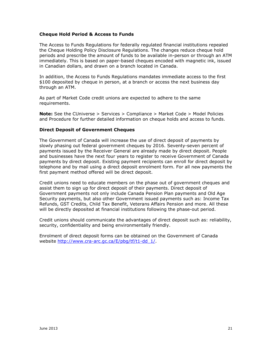#### <span id="page-20-0"></span>**Cheque Hold Period & Access to Funds**

The Access to Funds Regulations for federally regulated financial institutions repealed the Cheque Holding Policy Disclosure Regulations. The changes reduce cheque hold periods and prescribe the amount of funds to be available in-person or through an ATM immediately. This is based on paper-based cheques encoded with magnetic ink, issued in Canadian dollars, and drawn on a branch located in Canada.

In addition, the Access to Funds Regulations mandates immediate access to the first \$100 deposited by cheque in person, at a branch or access the next business day through an ATM.

As part of Market Code credit unions are expected to adhere to the same requirements.

**Note:** See the CUniverse > Services > Compliance > Market Code > Model Policies and Procedure for further detailed information on cheque holds and access to funds.

#### <span id="page-20-1"></span>**Direct Deposit of Government Cheques**

The Government of Canada will increase the use of direct deposit of payments by slowly phasing out federal government cheques by 2016. Seventy-seven percent of payments issued by the Receiver General are already made by direct deposit. People and businesses have the next four years to register to receive Government of Canada payments by direct deposit. Existing payment recipients can enroll for direct deposit by telephone and by mail using a direct deposit enrolment form. For all new payments the first payment method offered will be direct deposit.

Credit unions need to educate members on the phase out of government cheques and assist them to sign up for direct deposit of their payments. Direct deposit of Government payments not only include Canada Pension Plan payments and Old Age Security payments, but also other Government issued payments such as: Income Tax Refunds, GST Credits, Child Tax Benefit, Veterans Affairs Pension and more. All these will be directly deposited at financial institutions following the phase-out period.

Credit unions should communicate the advantages of direct deposit such as: reliability, security, confidentiality and being environmentally friendly.

Enrolment of direct deposit forms can be obtained on the Government of Canada website [http://www.cra-arc.gc.ca/E/pbg/tf/t1-dd\\_1/.](http://www.cra-arc.gc.ca/E/pbg/tf/t1-dd_1/)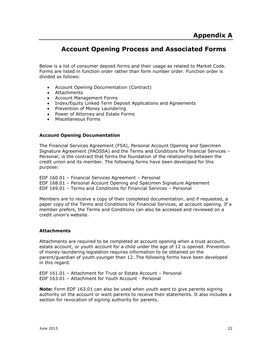# <span id="page-21-0"></span>**Account Opening Process and Associated Forms**

Below is a list of consumer deposit forms and their usage as related to Market Code. Forms are listed in function order rather than form number order. Function order is divided as follows:

- Account Opening Documentation (Contract)
- Attachments
- Account Management Forms
- Index/Equity Linked Term Deposit Applications and Agreements
- Prevention of Money Laundering
- Power of Attorney and Estate Forms
- Miscellaneous Forms

#### **Account Opening Documentation**

The Financial Services Agreement (FSA), Personal Account Opening and Specimen Signature Agreement (PAOSSA) and the Terms and Conditions for Financial Services – Personal; is the contract that forms the foundation of the relationship between the credit union and its member. The following forms have been developed for this purpose:

EDF 160.01 – Financial Services Agreement – Personal EDF 168.01 – Personal Account Opening and Specimen Signature Agreement EDF 169.01 – Terms and Conditions for Financial Services – Personal

Members are to receive a copy of their completed documentation, and if requested, a paper copy of the Terms and Conditions for Financial Services, at account opening. If a member prefers, the Terms and Conditions can also be accessed and reviewed on a credit union's website.

#### **Attachments**

Attachments are required to be completed at account opening when a trust account, estate account, or youth account for a child under the age of 12 is opened. Prevention of money laundering legislation requires information to be obtained on the parent/guardian of youth younger than 12. The following forms have been developed in this regard.

EDF 161.01 – Attachment for Trust or Estate Account – Personal EDF 163.01 – Attachment for Youth Account - Personal

**Note:** Form EDF 163.01 can also be used when youth want to give parents signing authority on the account or want parents to receive their statements. It also includes a section for revocation of signing authority for parents.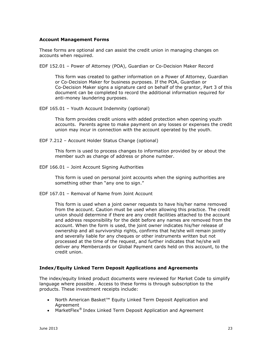#### **Account Management Forms**

These forms are optional and can assist the credit union in managing changes on accounts when required.

EDF 152.01 – Power of Attorney (POA), Guardian or Co-Decision Maker Record

This form was created to gather information on a Power of Attorney, Guardian or Co-Decision Maker for business purposes. If the POA, Guardian or Co-Decision Maker signs a signature card on behalf of the grantor, Part 3 of this document can be completed to record the additional information required for anti-money laundering purposes.

EDF 165.01 – Youth Account Indemnity (optional)

This form provides credit unions with added protection when opening youth accounts. Parents agree to make payment on any losses or expenses the credit union may incur in connection with the account operated by the youth.

EDF 7.212 – Account Holder Status Change (optional)

This form is used to process changes to information provided by or about the member such as change of address or phone number.

EDF 166.01 – Joint Account Signing Authorities

This form is used on personal joint accounts when the signing authorities are something other than "any one to sign."

EDF 167.01 – Removal of Name from Joint Account

This form is used when a joint owner requests to have his/her name removed from the account. Caution must be used when allowing this practice. The credit union should determine if there are any credit facilities attached to the account and address responsibility for the debt before any names are removed from the account. When the form is used, the joint owner indicates his/her release of ownership and all survivorship rights, confirms that he/she will remain jointly and severally liable for any cheques or other instruments written but not processed at the time of the request, and further indicates that he/she will deliver any Membercards or Global Payment cards held on this account, to the credit union.

#### **Index/Equity Linked Term Deposit Applications and Agreements**

The index/equity linked product documents were reviewed for Market Code to simplify language where possible . Access to these forms is through subscription to the products. These investment receipts include:

- North American Basket™ Equity Linked Term Deposit Application and Agreement
- MarketFlex<sup>®</sup> Index Linked Term Deposit Application and Agreement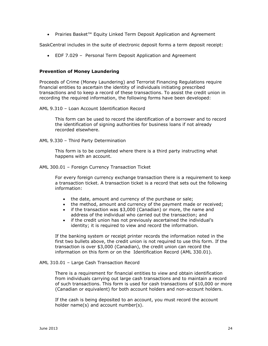Prairies Basket™ Equity Linked Term Deposit Application and Agreement

SaskCentral includes in the suite of electronic deposit forms a term deposit receipt:

EDF 7.029 – Personal Term Deposit Application and Agreement

#### **Prevention of Money Laundering**

Proceeds of Crime (Money Laundering) and Terrorist Financing Regulations require financial entities to ascertain the identity of individuals initiating prescribed transactions and to keep a record of these transactions. To assist the credit union in recording the required information, the following forms have been developed:

AML 9.310 – Loan Account Identification Record

This form can be used to record the identification of a borrower and to record the identification of signing authorities for business loans if not already recorded elsewhere.

AML 9.330 – Third Party Determination

This form is to be completed where there is a third party instructing what happens with an account.

AML 300.01 – Foreign Currency Transaction Ticket

For every foreign currency exchange transaction there is a requirement to keep a transaction ticket. A transaction ticket is a record that sets out the following information:

- the date, amount and currency of the purchase or sale;
- the method, amount and currency of the payment made or received;
- if the transaction was \$3,000 (Canadian) or more, the name and address of the individual who carried out the transaction; and
- if the credit union has not previously ascertained the individual's identity; it is required to view and record the information.

If the banking system or receipt printer records the information noted in the first two bullets above, the credit union is not required to use this form. If the transaction is over \$3,000 (Canadian), the credit union can record the information on this form or on the Identification Record (AML 330.01).

#### AML 310.01 – Large Cash Transaction Record

There is a requirement for financial entities to view and obtain identification from individuals carrying out large cash transactions and to maintain a record of such transactions. This form is used for cash transactions of \$10,000 or more (Canadian or equivalent) for both account holders and non-account holders.

If the cash is being deposited to an account, you must record the account holder name(s) and account number(s).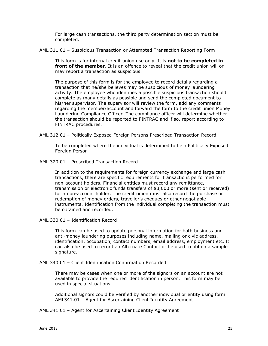For large cash transactions, the third party determination section must be completed.

AML 311.01 – Suspicious Transaction or Attempted Transaction Reporting Form

This form is for internal credit union use only. It is **not to be completed in front of the member**. It is an offence to reveal that the credit union will or may report a transaction as suspicious.

The purpose of this form is for the employee to record details regarding a transaction that he/she believes may be suspicious of money laundering activity. The employee who identifies a possible suspicious transaction should complete as many details as possible and send the completed document to his/her supervisor. The supervisor will review the form, add any comments regarding the member/account and forward the form to the credit union Money Laundering Compliance Officer. The compliance officer will determine whether the transaction should be reported to FINTRAC and if so, report according to FINTRAC procedures.

AML 312.01 – Politically Exposed Foreign Persons Prescribed Transaction Record

To be completed where the individual is determined to be a Politically Exposed Foreign Person

AML 320.01 – Prescribed Transaction Record

In addition to the requirements for foreign currency exchange and large cash transactions, there are specific requirements for transactions performed for non-account holders. Financial entities must record any remittance, transmission or electronic funds transfers of \$3,000 or more (sent or received) for a non-account holder. The credit union must also record the purchase or redemption of money orders, traveller's cheques or other negotiable instruments. Identification from the individual completing the transaction must be obtained and recorded.

AML 330.01 – Identification Record

This form can be used to update personal information for both business and anti-money laundering purposes including name, mailing or civic address, identification, occupation, contact numbers, email address, employment etc. It can also be used to record an Alternate Contact or be used to obtain a sample signature.

AML 340.01 – Client Identification Confirmation Recorded

There may be cases when one or more of the signors on an account are not available to provide the required identification in person. This form may be used in special situations.

Additional signors could be verified by another individual or entity using form AML341.01 – Agent for Ascertaining Client Identity Agreement.

AML 341.01 – Agent for Ascertaining Client Identity Agreement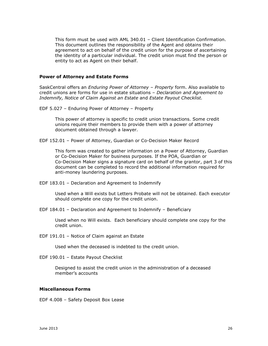This form must be used with AML 340.01 – Client Identification Confirmation. This document outlines the responsibility of the Agent and obtains their agreement to act on behalf of the credit union for the purpose of ascertaining the identity of a particular individual. The credit union must find the person or entity to act as Agent on their behalf.

#### **Power of Attorney and Estate Forms**

SaskCentral offers an *Enduring Power of Attorney – Property* form. Also available to credit unions are forms for use in estate situations – *Declaration and Agreement to Indemnify, Notice of Claim Against an Estate* and *Estate Payout Checklist.* 

EDF 5.027 – Enduring Power of Attorney – Property

This power of attorney is specific to credit union transactions. Some credit unions require their members to provide them with a power of attorney document obtained through a lawyer.

EDF 152.01 – Power of Attorney, Guardian or Co-Decision Maker Record

This form was created to gather information on a Power of Attorney, Guardian or Co-Decision Maker for business purposes. If the POA, Guardian or Co-Decision Maker signs a signature card on behalf of the grantor, part 3 of this document can be completed to record the additional information required for anti-money laundering purposes.

EDF 183.01 – Declaration and Agreement to Indemnify

Used when a Will exists but Letters Probate will not be obtained. Each executor should complete one copy for the credit union.

EDF 184.01 – Declaration and Agreement to Indemnify – Beneficiary

Used when no Will exists. Each beneficiary should complete one copy for the credit union.

EDF 191.01 – Notice of Claim against an Estate

Used when the deceased is indebted to the credit union.

EDF 190.01 – Estate Payout Checklist

Designed to assist the credit union in the administration of a deceased member's accounts

#### **Miscellaneous Forms**

EDF 4.008 – Safety Deposit Box Lease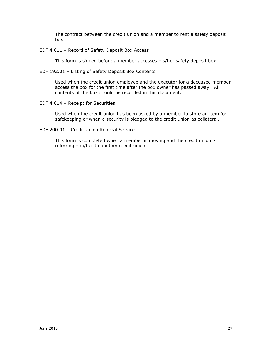The contract between the credit union and a member to rent a safety deposit box

EDF 4.011 – Record of Safety Deposit Box Access

This form is signed before a member accesses his/her safety deposit box

EDF 192.01 – Listing of Safety Deposit Box Contents

Used when the credit union employee and the executor for a deceased member access the box for the first time after the box owner has passed away. All contents of the box should be recorded in this document.

EDF 4.014 – Receipt for Securities

Used when the credit union has been asked by a member to store an item for safekeeping or when a security is pledged to the credit union as collateral.

EDF 200.01 – Credit Union Referral Service

This form is completed when a member is moving and the credit union is referring him/her to another credit union.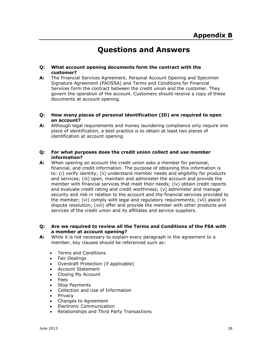# **Questions and Answers**

#### <span id="page-27-0"></span>**Q: What account opening documents form the contract with the customer?**

- **A:** The Financial Services Agreement, Personal Account Opening and Specimen Signature Agreement (PAOSSA) and Terms and Conditions for Financial Services form the contract between the credit union and the customer. They govern the operation of the account. Customers should receive a copy of these documents at account opening.
- **Q: How many pieces of personal identification (ID) are required to open an account?**
- **A:** Although legal requirements and money laundering compliance only require one piece of identification, a best practice is to obtain at least two pieces of identification at account opening.
- **Q: For what purposes does the credit union collect and use member information?**
- **A:** When opening an account the credit union asks a member for personal, financial, and credit information. The purpose of obtaining this information is to: (i) verify identity; (ii) understand member needs and eligibility for products and services; (iii) open, maintain and administer the account and provide the member with financial services that meet their needs; (iv) obtain credit reports and evaluate credit rating and credit worthiness; (v) administer and manage security and risk in relation to the account and the financial services provided to the member; (vi) comply with legal and regulatory requirements; (vii) assist in dispute resolution; (viii) offer and provide the member with other products and services of the credit union and its affiliates and service suppliers.

#### **Q: Are we required to review all the Terms and Conditions of the FSA with a member at account opening?**

- **A:** While it is not necessary to explain every paragraph in the agreement to a member, key clauses should be referenced such as:
	- Terms and Conditions
	- Fair Dealings
	- Overdraft Protection (if applicable)
	- Account Statement
	- Closing My Account
	- Fees
	- Stop Payments
	- Collection and Use of Information
	- Privacy
	- Changes to Agreement
	- Electronic Communication
	- Relationships and Third Party Transactions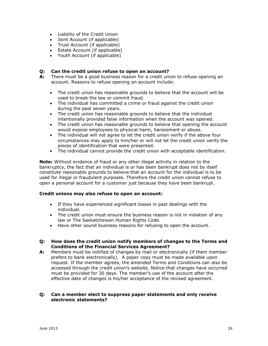- Liability of the Credit Union
- Joint Account (if applicable)
- Trust Account (if applicable)
- Estate Account (if applicable)
- Youth Account (if applicable)

#### **Q: Can the credit union refuse to open an account?**

- **A:** There must be a good business reason for a credit union to refuse opening an account. Reasons to refuse opening an account include:
	- The credit union has reasonable grounds to believe that the account will be used to break the law or commit fraud.
	- The individual has committed a crime or fraud against the credit union during the past seven years.
	- The credit union has reasonable grounds to believe that the individual intentionally provided false information when the account was opened.
	- The credit union has reasonable grounds to believe that opening the account would expose employees to physical harm, harassment or abuse.
	- The individual will not agree to let the credit union verify if the above four circumstances may apply to him/her or will not let the credit union verify the pieces of identification that were presented.
	- The individual cannot provide the credit union with acceptable identification.

**Note:** Without evidence of fraud or any other illegal activity in relation to the bankruptcy, the fact that an individual is or has been bankrupt does not by itself constitute reasonable grounds to believe that an account for the individual is to be used for illegal or fraudulent purposes. Therefore the credit union cannot refuse to open a personal account for a customer just because they have been bankrupt.

#### **Credit unions may also refuse to open an account:**

- If they have experienced significant losses in past dealings with the individual.
- The credit union must ensure the business reason is not in violation of any law or The Saskatchewan Human Rights Code.
- Have other sound business reasons for refusing to open the account.
- **Q: How does the credit union notify members of changes to the Terms and Conditions of the Financial Services Agreement?**
- **A:** Members must be notified of changes by mail or electronically (if them member prefers to bank electronically). A paper copy must be made available upon request. If the member agrees, the amended Terms and Conditions can also be accessed through the credit union's website. Notice that changes have occurred must be provided for 30 days. The member's use of the account after the effective date of changes is his/her acceptance of the revised agreement.

#### **Q: Can a member elect to suppress paper statements and only receive electronic statements?**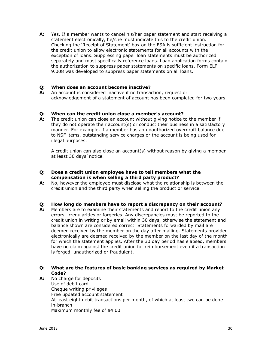**A:** Yes. If a member wants to cancel his/her paper statement and start receiving a statement electronically, he/she must indicate this to the credit union. Checking the 'Receipt of Statement' box on the FSA is sufficient instruction for the credit union to allow electronic statements for all accounts with the exception of loans. Suppressing paper loan statements must be authorized separately and must specifically reference loans. Loan application forms contain the authorization to suppress paper statements on specific loans. Form ELF 9.008 was developed to suppress paper statements on all loans.

#### **Q: When does an account become inactive?**

**A:** An account is considered inactive if no transaction, request or acknowledgement of a statement of account has been completed for two years.

#### **Q: When can the credit union close a member's account?**

**A:** The credit union can close an account without giving notice to the member if they do not operate their account(s) or conduct their business in a satisfactory manner. For example, if a member has an unauthorized overdraft balance due to NSF items, outstanding service charges or the account is being used for illegal purposes.

A credit union can also close an account(s) without reason by giving a member at least 30 days' notice.

- **Q: Does a credit union employee have to tell members what the compensation is when selling a third party product?**
- **A:** No, however the employee must disclose what the relationship is between the credit union and the third party when selling the product or service.

#### **Q: How long do members have to report a discrepancy on their account?**

**A:** Members are to examine their statements and report to the credit union any errors, irregularities or forgeries. Any discrepancies must be reported to the credit union in writing or by email within 30 days, otherwise the statement and balance shown are considered correct. Statements forwarded by mail are deemed received by the member on the day after mailing. Statements provided electronically are deemed received by the member on the last day of the month for which the statement applies. After the 30 day period has elapsed, members have no claim against the credit union for reimbursement even if a transaction is forged, unauthorized or fraudulent.

#### **Q: What are the features of basic banking services as required by Market Code?**

**A:** No charge for deposits Use of debit card Cheque writing privileges Free updated account statement At least eight debit transactions per month, of which at least two can be done in-branch Maximum monthly fee of \$4.00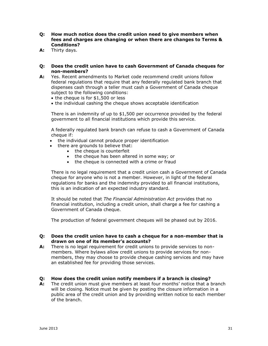- **Q: How much notice does the credit union need to give members when fees and charges are changing or when there are changes to Terms & Conditions?**
- **A:** Thirty days.
- **Q: Does the credit union have to cash Government of Canada cheques for non-members?**
- **A:** Yes. Recent amendments to Market code recommend credit unions follow federal regulations that require that any federally regulated bank branch that dispenses cash through a teller must cash a Government of Canada cheque subject to the following conditions:
	- $\bullet$  the cheque is for \$1,500 or less
	- the individual cashing the cheque shows acceptable identification

There is an indemnity of up to \$1,500 per occurrence provided by the federal government to all financial institutions which provide this service.

A federally regulated bank branch can refuse to cash a Government of Canada cheque if:

- the individual cannot produce proper identification
- there are grounds to believe that:
	- the cheque is counterfeit
	- the cheque has been altered in some way; or
	- the cheque is connected with a crime or fraud

There is no legal requirement that a credit union cash a Government of Canada cheque for anyone who is not a member. However, in light of the federal regulations for banks and the indemnity provided to all financial institutions, this is an indication of an expected industry standard.

It should be noted that *The Financial Administration Act* provides that no financial institution, including a credit union, shall charge a fee for cashing a Government of Canada cheque.

The production of federal government cheques will be phased out by 2016.

#### **Q: Does the credit union have to cash a cheque for a non-member that is drawn on one of its member's accounts?**

**A:** There is no legal requirement for credit unions to provide services to nonmembers. Where bylaws allow credit unions to provide services for nonmembers, they may choose to provide cheque cashing services and may have an established fee for providing those services.

#### **Q: How does the credit union notify members if a branch is closing?**

**A:** The credit union must give members at least four months' notice that a branch will be closing. Notice must be given by posting the closure information in a public area of the credit union and by providing written notice to each member of the branch.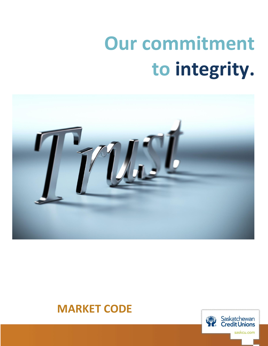# **Our commitment to integrity.**



# **MARKET CODE**

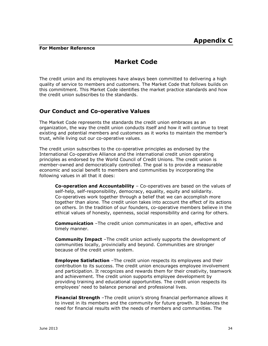#### <span id="page-33-0"></span>**For Member Reference**

# **Market Code**

The credit union and its employees have always been committed to delivering a high quality of service to members and customers. The Market Code that follows builds on this commitment. This Market Code identifies the market practice standards and how the credit union subscribes to the standards.

# **Our Conduct and Co-operative Values**

The Market Code represents the standards the credit union embraces as an organization, the way the credit union conducts itself and how it will continue to treat existing and potential members and customers as it works to maintain the member's trust, while living out our co-operative values.

The credit union subscribes to the co-operative principles as endorsed by the International Co-operative Alliance and the international credit union operating principles as endorsed by the World Council of Credit Unions. The credit union is member-owned and democratically controlled. The goal is to provide a measurable economic and social benefit to members and communities by incorporating the following values in all that it does:

**Co-operation and Accountability** – Co-operatives are based on the values of self-help, self-responsibility, democracy, equality, equity and solidarity. Co-operatives work together through a belief that we can accomplish more together than alone. The credit union takes into account the effect of its actions on others. In the tradition of our founders, co-operative members believe in the ethical values of honesty, openness, social responsibility and caring for others.

**Communication** –The credit union communicates in an open, effective and timely manner.

**Community Impact** –The credit union actively supports the development of communities locally, provincially and beyond. Communities are stronger because of the credit union system.

**Employee Satisfaction** –The credit union respects its employees and their contribution to its success. The credit union encourages employee involvement and participation. It recognizes and rewards them for their creativity, teamwork and achievement. The credit union supports employee development by providing training and educational opportunities. The credit union respects its employees' need to balance personal and professional lives.

**Financial Strength** –The credit union's strong financial performance allows it to invest in its members and the community for future growth. It balances the need for financial results with the needs of members and communities. The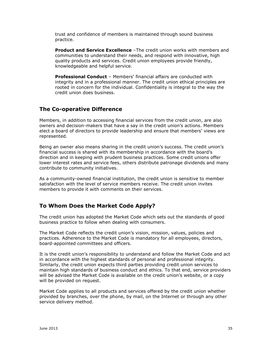trust and confidence of members is maintained through sound business practice.

**Product and Service Excellence** –The credit union works with members and communities to understand their needs, and respond with innovative, high quality products and services. Credit union employees provide friendly, knowledgeable and helpful service.

**Professional Conduct** – Members' financial affairs are conducted with integrity and in a professional manner. The credit union ethical principles are rooted in concern for the individual. Confidentiality is integral to the way the credit union does business.

# **The Co-operative Difference**

Members, in addition to accessing financial services from the credit union, are also owners and decision-makers that have a say in the credit union's actions. Members elect a board of directors to provide leadership and ensure that members' views are represented.

Being an owner also means sharing in the credit union's success. The credit union's financial success is shared with its membership in accordance with the board's direction and in keeping with prudent business practices. Some credit unions offer lower interest rates and service fees, others distribute patronage dividends and many contribute to community initiatives.

As a community-owned financial institution, the credit union is sensitive to member satisfaction with the level of service members receive. The credit union invites members to provide it with comments on their services.

# **To Whom Does the Market Code Apply?**

The credit union has adopted the Market Code which sets out the standards of good business practice to follow when dealing with consumers.

The Market Code reflects the credit union's vision, mission, values, policies and practices. Adherence to the Market Code is mandatory for all employees, directors, board-appointed committees and officers.

It is the credit union's responsibility to understand and follow the Market Code and act in accordance with the highest standards of personal and professional integrity. Similarly, the credit union expects third parties providing credit union services to maintain high standards of business conduct and ethics. To that end, service providers will be advised the Market Code is available on the credit union's website, or a copy will be provided on request.

Market Code applies to all products and services offered by the credit union whether provided by branches, over the phone, by mail, on the Internet or through any other service delivery method.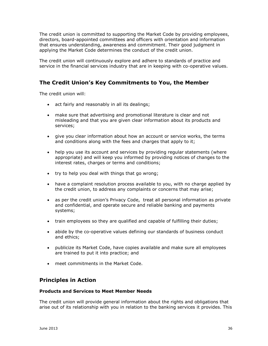The credit union is committed to supporting the Market Code by providing employees, directors, board-appointed committees and officers with orientation and information that ensures understanding, awareness and commitment. Their good judgment in applying the Market Code determines the conduct of the credit union.

The credit union will continuously explore and adhere to standards of practice and service in the financial services industry that are in keeping with co-operative values.

# **The Credit Union's Key Commitments to You, the Member**

The credit union will:

- act fairly and reasonably in all its dealings;
- make sure that advertising and promotional literature is clear and not misleading and that you are given clear information about its products and services;
- give you clear information about how an account or service works, the terms and conditions along with the fees and charges that apply to it;
- help you use its account and services by providing regular statements (where appropriate) and will keep you informed by providing notices of changes to the interest rates, charges or terms and conditions;
- try to help you deal with things that go wrong;
- have a complaint resolution process available to you, with no charge applied by the credit union, to address any complaints or concerns that may arise;
- as per the credit union's Privacy Code, treat all personal information as private and confidential, and operate secure and reliable banking and payments systems;
- train employees so they are qualified and capable of fulfilling their duties;
- abide by the co-operative values defining our standards of business conduct and ethics;
- publicize its Market Code, have copies available and make sure all employees are trained to put it into practice; and
- meet commitments in the Market Code.

# **Principles in Action**

#### **Products and Services to Meet Member Needs**

The credit union will provide general information about the rights and obligations that arise out of its relationship with you in relation to the banking services it provides. This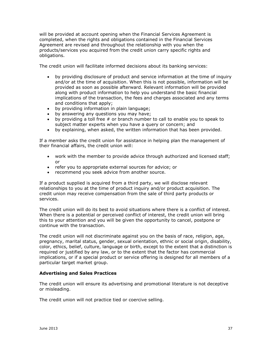will be provided at account opening when the Financial Services Agreement is completed, when the rights and obligations contained in the Financial Services Agreement are revised and throughout the relationship with you when the products/services you acquired from the credit union carry specific rights and obligations.

The credit union will facilitate informed decisions about its banking services:

- by providing disclosure of product and service information at the time of inquiry and/or at the time of acquisition. When this is not possible, information will be provided as soon as possible afterward. Relevant information will be provided along with product information to help you understand the basic financial implications of the transaction, the fees and charges associated and any terms and conditions that apply;
- by providing information in plain language;
- by answering any questions you may have;
- by providing a toll free # or branch number to call to enable you to speak to subject matter experts when you have a query or concern; and
- by explaining, when asked, the written information that has been provided.

If a member asks the credit union for assistance in helping plan the management of their financial affairs, the credit union will:

- work with the member to provide advice through authorized and licensed staff; or
- refer you to appropriate external sources for advice; or
- recommend you seek advice from another source.

If a product supplied is acquired from a third party, we will disclose relevant relationships to you at the time of product inquiry and/or product acquisition. The credit union may receive compensation from the sale of third party products or services.

The credit union will do its best to avoid situations where there is a conflict of interest. When there is a potential or perceived conflict of interest, the credit union will bring this to your attention and you will be given the opportunity to cancel, postpone or continue with the transaction.

The credit union will not discriminate against you on the basis of race, religion, age, pregnancy, marital status, gender, sexual orientation, ethnic or social origin, disability, color, ethics, belief, culture, language or birth, except to the extent that a distinction is required or justified by any law, or to the extent that the factor has commercial implications, or if a special product or service offering is designed for all members of a particular target market group.

#### **Advertising and Sales Practices**

The credit union will ensure its advertising and promotional literature is not deceptive or misleading.

The credit union will not practice tied or coercive selling.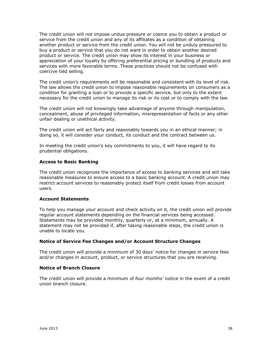The credit union will not impose undue pressure or coerce you to obtain a product or service from the credit union and any of its affiliates as a condition of obtaining another product or service from the credit union. You will not be unduly pressured to buy a product or service that you do not want in order to obtain another desired product or service. The credit union may show its interest in your business or appreciation of your loyalty by offering preferential pricing or bundling of products and services with more favorable terms. These practices should not be confused with coercive tied selling.

The credit union's requirements will be reasonable and consistent with its level of risk. The law allows the credit union to impose reasonable requirements on consumers as a condition for granting a loan or to provide a specific service, but only to the extent necessary for the credit union to manage its risk or its cost or to comply with the law.

The credit union will not knowingly take advantage of anyone through manipulation, concealment, abuse of privileged information, misrepresentation of facts or any other unfair dealing or unethical activity.

The credit union will act fairly and reasonably towards you in an ethical manner; in doing so, it will consider your conduct, its conduct and the contract between us.

In meeting the credit union's key commitments to you, it will have regard to its prudential obligations.

#### **Access to Basic Banking**

The credit union recognizes the importance of access to banking services and will take reasonable measures to ensure access to a basic banking account. A credit union may restrict account services to reasonably protect itself from credit losses from account users.

#### **Account Statements**

To help you manage your account and check activity on it, the credit union will provide regular account statements depending on the financial services being accessed. Statements may be provided monthly, quarterly or, at a minimum, annually. A statement may not be provided if, after taking reasonable steps, the credit union is unable to locate you.

#### **Notice of Service Fee Changes and/or Account Structure Changes**

The credit union will provide a minimum of 30 days' notice for changes in service fees and/or changes in account, product, or service structures that you are receiving.

#### **Notice of Branch Closure**

The credit union will provide a minimum of four months' notice in the event of a credit union branch closure.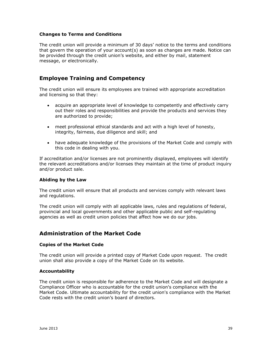#### **Changes to Terms and Conditions**

The credit union will provide a minimum of 30 days' notice to the terms and conditions that govern the operation of your account(s) as soon as changes are made. Notice can be provided through the credit union's website, and either by mail, statement message, or electronically.

## **Employee Training and Competency**

The credit union will ensure its employees are trained with appropriate accreditation and licensing so that they:

- acquire an appropriate level of knowledge to competently and effectively carry out their roles and responsibilities and provide the products and services they are authorized to provide;
- meet professional ethical standards and act with a high level of honesty, integrity, fairness, due diligence and skill; and
- have adequate knowledge of the provisions of the Market Code and comply with this code in dealing with you.

If accreditation and/or licenses are not prominently displayed, employees will identify the relevant accreditations and/or licenses they maintain at the time of product inquiry and/or product sale.

#### **Abiding by the Law**

The credit union will ensure that all products and services comply with relevant laws and regulations.

The credit union will comply with all applicable laws, rules and regulations of federal, provincial and local governments and other applicable public and self-regulating agencies as well as credit union policies that affect how we do our jobs.

## **Administration of the Market Code**

#### **Copies of the Market Code**

The credit union will provide a printed copy of Market Code upon request. The credit union shall also provide a copy of the Market Code on its website.

#### **Accountability**

The credit union is responsible for adherence to the Market Code and will designate a Compliance Officer who is accountable for the credit union's compliance with the Market Code. Ultimate accountability for the credit union's compliance with the Market Code rests with the credit union's board of directors.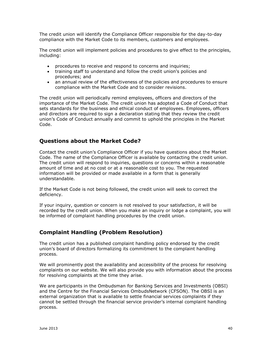The credit union will identify the Compliance Officer responsible for the day-to-day compliance with the Market Code to its members, customers and employees.

The credit union will implement policies and procedures to give effect to the principles, including:

- procedures to receive and respond to concerns and inquiries;
- training staff to understand and follow the credit union's policies and procedures; and
- an annual review of the effectiveness of the policies and procedures to ensure compliance with the Market Code and to consider revisions.

The credit union will periodically remind employees, officers and directors of the importance of the Market Code. The credit union has adopted a Code of Conduct that sets standards for the business and ethical conduct of employees. Employees, officers and directors are required to sign a declaration stating that they review the credit union's Code of Conduct annually and commit to uphold the principles in the Market Code.

# **Questions about the Market Code?**

Contact the credit union's Compliance Officer if you have questions about the Market Code. The name of the Compliance Officer is available by contacting the credit union. The credit union will respond to inquiries, questions or concerns within a reasonable amount of time and at no cost or at a reasonable cost to you. The requested information will be provided or made available in a form that is generally understandable.

If the Market Code is not being followed, the credit union will seek to correct the deficiency.

If your inquiry, question or concern is not resolved to your satisfaction, it will be recorded by the credit union. When you make an inquiry or lodge a complaint, you will be informed of complaint handling procedures by the credit union.

# **Complaint Handling (Problem Resolution)**

The credit union has a published complaint handling policy endorsed by the credit union's board of directors formalizing its commitment to the complaint handling process.

We will prominently post the availability and accessibility of the process for resolving complaints on our website. We will also provide you with information about the process for resolving complaints at the time they arise.

We are participants in the Ombudsman for Banking Services and Investments (OBSI) and the Centre for the Financial Services OmbudsNetwork (CFSON). The OBSI is an external organization that is available to settle financial services complaints if they cannot be settled through the financial service provider's internal complaint handling process.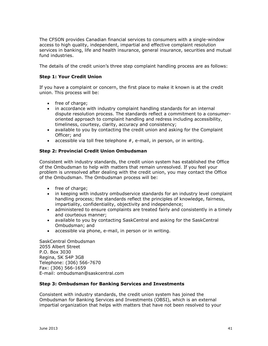The CFSON provides Canadian financial services to consumers with a single-window access to high quality, independent, impartial and effective complaint resolution services in banking, life and health insurance, general insurance, securities and mutual fund industries.

The details of the credit union's three step complaint handling process are as follows:

#### **Step 1: Your Credit Union**

If you have a complaint or concern, the first place to make it known is at the credit union. This process will be:

- free of charge;
- in accordance with industry complaint handling standards for an internal dispute resolution process. The standards reflect a commitment to a consumeroriented approach to complaint handling and redress including accessibility, timeliness, courtesy, clarity, accuracy and consistency;
- available to you by contacting the credit union and asking for the Complaint Officer; and
- $\bullet$  accessible via toll free telephone  $#$ , e-mail, in person, or in writing.

#### **Step 2: Provincial Credit Union Ombudsman**

Consistent with industry standards, the credit union system has established the Office of the Ombudsman to help with matters that remain unresolved. If you feel your problem is unresolved after dealing with the credit union, you may contact the Office of the Ombudsman. The Ombudsman process will be:

- free of charge:
- in keeping with industry ombudservice standards for an industry level complaint handling process; the standards reflect the principles of knowledge, fairness, impartiality, confidentiality, objectivity and independence;
- administered to ensure complaints are treated fairly and consistently in a timely and courteous manner;
- available to you by contacting SaskCentral and asking for the SaskCentral Ombudsman; and
- accessible via phone, e-mail, in person or in writing.

SaskCentral Ombudsman 2055 Albert Street P.O. Box 3030 Regina, SK S4P 3G8 Telephone: (306) 566-7670 Fax: (306) 566-1659 E-mail: ombudsman@saskcentral.com

#### **Step 3: Ombudsman for Banking Services and Investments**

Consistent with industry standards, the credit union system has joined the Ombudsman for Banking Services and Investments (OBSI), which is an external impartial organization that helps with matters that have not been resolved to your